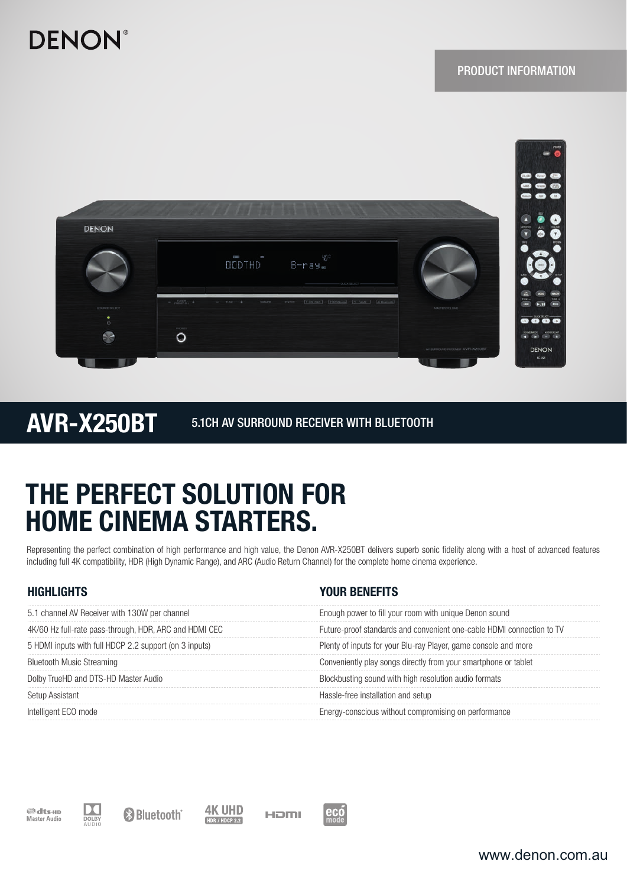# **DENON®**



AVR-X250BT 5.1CH AV SURROUND RECEIVER WITH BLUETOOTH

# THE PERFECT SOLUTION FOR HOME CINEMA STARTERS.

Representing the perfect combination of high performance and high value, the Denon AVR-X250BT delivers superb sonic fidelity along with a host of advanced features including full 4K compatibility, HDR (High Dynamic Range), and ARC (Audio Return Channel) for the complete home cinema experience.

| <b>HIGHLIGHTS</b>                                      | YOUR BENEFITS                                                         |
|--------------------------------------------------------|-----------------------------------------------------------------------|
| 5.1 channel AV Receiver with 130W per channel          | Enough power to fill your room with unique Denon sound                |
| 4K/60 Hz full-rate pass-through, HDR, ARC and HDMI CEC | Future-proof standards and convenient one-cable HDMI connection to TV |
| 5 HDMI inputs with full HDCP 2.2 support (on 3 inputs) | Plenty of inputs for your Blu-ray Player, game console and more       |
| <b>Bluetooth Music Streaming</b>                       | Conveniently play songs directly from your smartphone or tablet       |
| Dolby TrueHD and DTS-HD Master Audio                   | Blockbusting sound with high resolution audio formats                 |
| Setup Assistant                                        | Hassle-free installation and setup                                    |
| Intelligent ECO mode                                   | Energy-conscious without compromising on performance                  |







<sup>8</sup>Bluetooth<sup>®</sup>

**4K UHD** HOMI HDR / HDCP 2.2



www.denon.com.au